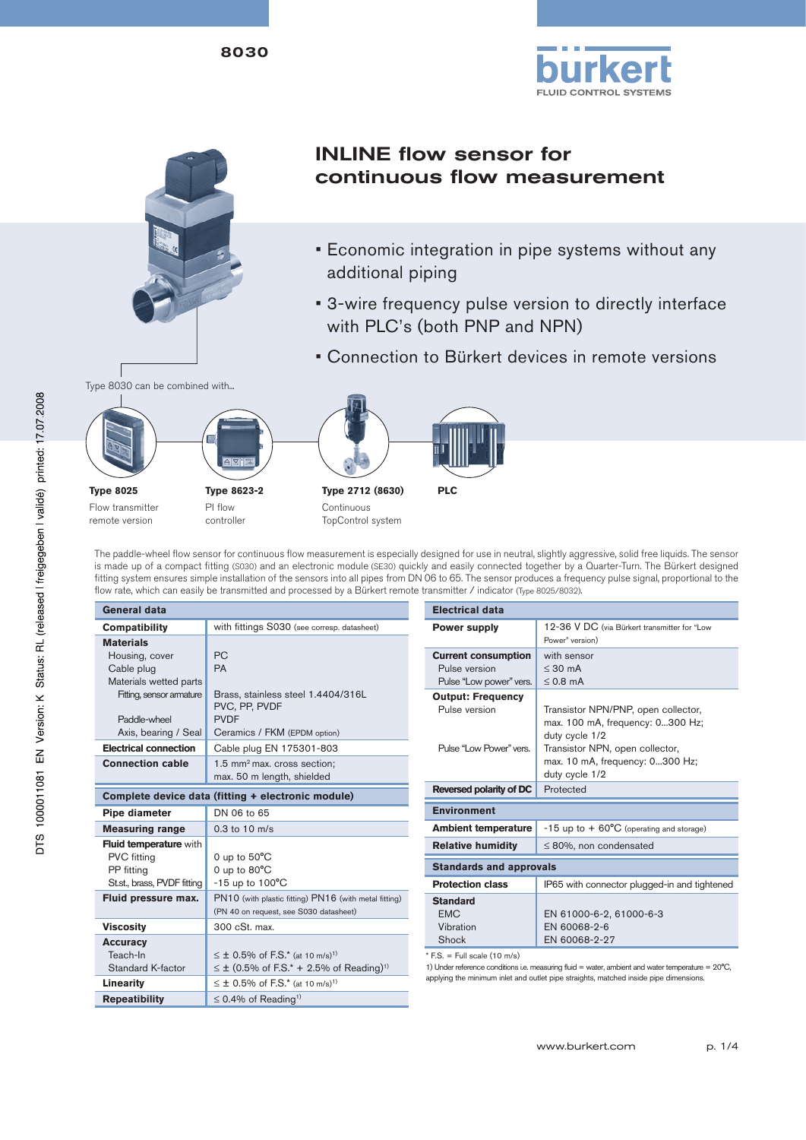8030





# INLINE flow sensor for continuous flow measurement

- Economic integration in pipe systems without any additional piping
- 3-wire frequency pulse version to directly interface with PLC's (both PNP and NPN)
- Connection to Bürkert devices in remote versions





**Type 8025** Flow transmitter remote version

PI flow controller **Type 2712 (8630)** Continuous TopControl system



The paddle-wheel flow sensor for continuous flow measurement is especially designed for use in neutral, slightly aggressive, solid free liquids. The sensor is made up of a compact fitting (S030) and an electronic module (SE30) quickly and easily connected together by a Quarter-Turn. The Bürkert designed fitting system ensures simple installation of the sensors into all pipes from DN 06 to 65. The sensor produces a frequency pulse signal, proportional to the flow rate, which can easily be transmitted and processed by a Bürkert remote transmitter / indicator (Type 8025/8032).

| <b>General data</b>                                                                   |                                                                                                                                                                                                                | <b>Electrical data</b>                                                                                                                                |                                            |  |  |
|---------------------------------------------------------------------------------------|----------------------------------------------------------------------------------------------------------------------------------------------------------------------------------------------------------------|-------------------------------------------------------------------------------------------------------------------------------------------------------|--------------------------------------------|--|--|
| Compatibility<br><b>Materials</b>                                                     | with fittings S030 (see corresp. datasheet)<br><b>Power supply</b>                                                                                                                                             |                                                                                                                                                       | 12-36 V<br>Power" versi                    |  |  |
| Housing, cover<br>Cable plug<br>Materials wetted parts                                | <b>PC</b><br><b>PA</b>                                                                                                                                                                                         | <b>Current consumption</b><br>Pulse version<br>Pulse "Low power" vers.                                                                                | with sens<br>$\leq 30$ mA<br>$\leq$ 0.8 mA |  |  |
| Fitting, sensor armature<br>Paddle-wheel<br>Axis, bearing / Seal                      | Brass, stainless steel 1.4404/316L<br>PVC, PP, PVDF<br><b>PVDF</b><br>Ceramics / FKM (EPDM option)                                                                                                             | <b>Output: Frequency</b><br>Pulse version                                                                                                             | Transistor<br>max. 100<br>duty cycle       |  |  |
| <b>Electrical connection</b><br><b>Connection cable</b>                               | Cable plug EN 175301-803<br>$1.5$ mm <sup>2</sup> max. cross section:<br>max. 50 m length, shielded                                                                                                            | Pulse "Low Power" vers.                                                                                                                               | Transistor<br>max. 10 n<br>duty cycle      |  |  |
| Complete device data (fitting + electronic module)                                    |                                                                                                                                                                                                                | Reversed polarity of DC                                                                                                                               | Protected                                  |  |  |
| Pipe diameter                                                                         | DN 06 to 65                                                                                                                                                                                                    | <b>Environment</b>                                                                                                                                    |                                            |  |  |
| <b>Measuring range</b>                                                                | $0.3$ to $10 \text{ m/s}$                                                                                                                                                                                      | <b>Ambient temperature</b>                                                                                                                            | $-15$ up to                                |  |  |
| <b>Fluid temperature with</b>                                                         |                                                                                                                                                                                                                | <b>Relative humidity</b>                                                                                                                              | ≤ 80%, no                                  |  |  |
| <b>PVC</b> fitting<br>PP fitting<br>St.st., brass, PVDF fitting                       | 0 up to $50^{\circ}$ C<br>0 up to $80^{\circ}$ C<br>$-15$ up to $100^{\circ}$ C                                                                                                                                | <b>Standards and approvals</b><br><b>Protection class</b><br>IP65 with                                                                                |                                            |  |  |
| Fluid pressure max.                                                                   | PN10 (with plastic fitting) PN16 (with metal fitting)<br>(PN 40 on request, see S030 datasheet)                                                                                                                | <b>Standard</b><br><b>FMC</b>                                                                                                                         | EN 6100                                    |  |  |
| <b>Viscosity</b>                                                                      | 300 cSt. max.                                                                                                                                                                                                  | Vibration                                                                                                                                             | EN 6006                                    |  |  |
| <b>Accuracy</b><br>Teach-In<br>Standard K-factor<br>Linearity<br><b>Repeatibility</b> | $\leq \pm$ 0.5% of F.S.* (at 10 m/s) <sup>1)</sup><br>$\leq \pm$ (0.5% of F.S.* + 2.5% of Reading) <sup>1)</sup><br>$\leq \pm$ 0.5% of F.S.* (at 10 m/s) <sup>1)</sup><br>$\leq$ 0.4% of Reading <sup>1)</sup> | Shock<br>$*$ F.S. = Full scale (10 m/s)<br>1) Under reference conditions i.e. measuring fluid =<br>applying the minimum inlet and outlet pipe straigh | EN 6006                                    |  |  |

| <b>Electrical data</b>                                                                                 |                                                                                                                                                                                   |  |  |  |
|--------------------------------------------------------------------------------------------------------|-----------------------------------------------------------------------------------------------------------------------------------------------------------------------------------|--|--|--|
| <b>Power supply</b>                                                                                    | 12-36 V DC (via Bürkert transmitter for "Low<br>Power" version)                                                                                                                   |  |  |  |
| <b>Current consumption</b><br>Pulse version<br>Pulse "Low power" vers.                                 | with sensor<br>$\leq 30$ mA<br>$\leq$ 0.8 mA                                                                                                                                      |  |  |  |
| <b>Output: Frequency</b><br>Pulse version<br>Pulse "Low Power" vers.                                   | Transistor NPN/PNP, open collector,<br>max. 100 mA, frequency: 0300 Hz;<br>duty cycle 1/2<br>Transistor NPN, open collector,<br>max. 10 mA, frequency: 0300 Hz;<br>duty cycle 1/2 |  |  |  |
| Reversed polarity of DC                                                                                | Protected                                                                                                                                                                         |  |  |  |
| <b>Environment</b>                                                                                     |                                                                                                                                                                                   |  |  |  |
| <b>Ambient temperature</b>                                                                             | $-15$ up to $+60^{\circ}$ C (operating and storage)                                                                                                                               |  |  |  |
| <b>Relative humidity</b>                                                                               | $\leq$ 80%, non condensated                                                                                                                                                       |  |  |  |
| <b>Standards and approvals</b>                                                                         |                                                                                                                                                                                   |  |  |  |
| <b>Protection class</b>                                                                                | IP65 with connector plugged-in and tightened                                                                                                                                      |  |  |  |
| <b>Standard</b><br><b>FMC</b><br>Vibration<br>Shock<br>$+F \cap F \cup H$ $\rightarrow$ $(4 \wedge 1)$ | EN 61000-6-2, 61000-6-3<br>EN 60068-2-6<br>EN 60068-2-27                                                                                                                          |  |  |  |

1) Under reference conditions i.e. measuring fluid = water, ambient and water temperature = 20°C, applying the minimum inlet and outlet pipe straights, matched inside pipe dimensions.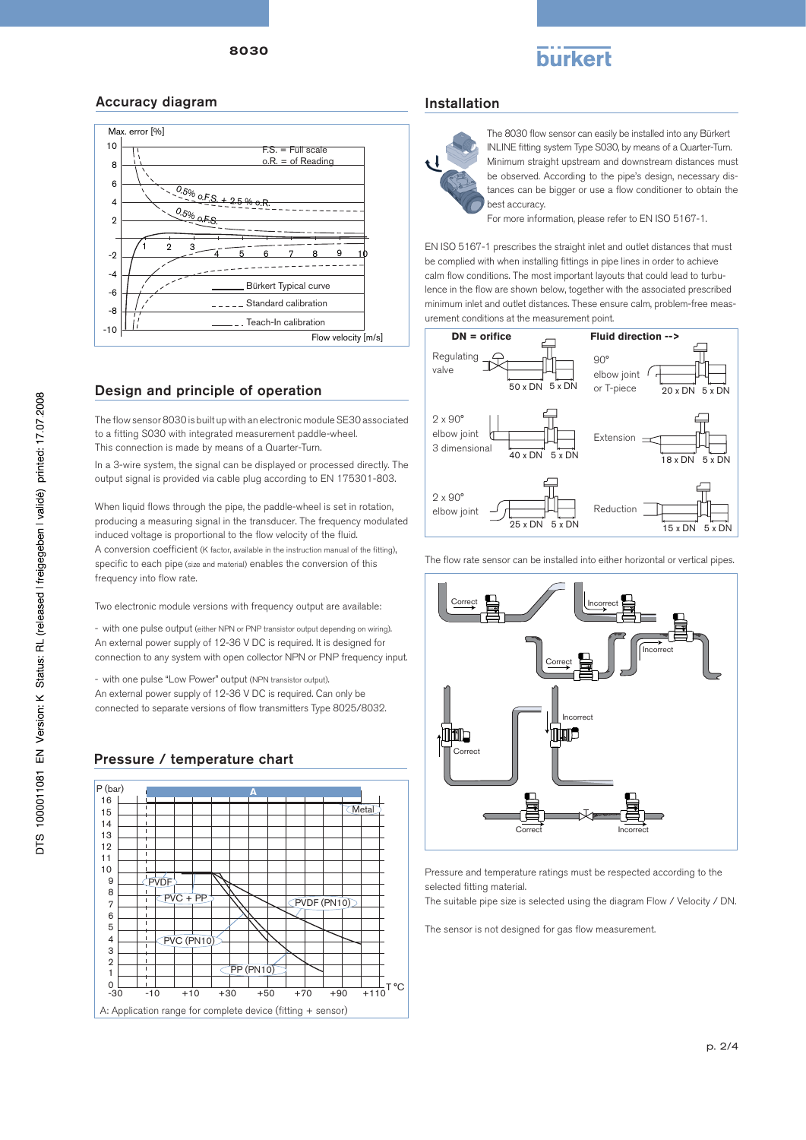# burkert

# Accuracy diagram



The flow sensor 8030 is built up with an electronic module SE30 associated to a fitting S030 with integrated measurement paddle-wheel. This connection is made by means of a Quarter-Turn.

In a 3-wire system, the signal can be displayed or processed directly. The output signal is provided via cable plug according to EN 175301-803.

When liquid flows through the pipe, the paddle-wheel is set in rotation, producing a measuring signal in the transducer. The frequency modulated induced voltage is proportional to the flow velocity of the fluid. A conversion coefficient (K factor, available in the instruction manual of the fitting), specific to each pipe (size and material) enables the conversion of this frequency into flow rate.

Two electronic module versions with frequency output are available:

- with one pulse output (either NPN or PNP transistor output depending on wiring). An external power supply of 12-36 V DC is required. It is designed for connection to any system with open collector NPN or PNP frequency input.

- with one pulse "Low Power" output (NPN transistor output). An external power supply of 12-36 V DC is required. Can only be connected to separate versions of flow transmitters Type 8025/8032.

# Pressure / temperature chart



#### Installation



The 8030 flow sensor can easily be installed into any Bürkert INLINE fitting system Type S030, by means of a Quarter-Turn. Minimum straight upstream and downstream distances must be observed. According to the pipe's design, necessary distances can be bigger or use a flow conditioner to obtain the best accuracy.

For more information, please refer to EN ISO 5167-1.

EN ISO 5167-1 prescribes the straight inlet and outlet distances that must be complied with when installing fittings in pipe lines in order to achieve calm flow conditions. The most important layouts that could lead to turbulence in the flow are shown below, together with the associated prescribed minimum inlet and outlet distances. These ensure calm, problem-free measurement conditions at the measurement point.



The flow rate sensor can be installed into either horizontal or vertical pipes.



Pressure and temperature ratings must be respected according to the selected fitting material.

The suitable pipe size is selected using the diagram Flow / Velocity / DN.

The sensor is not designed for gas flow measurement.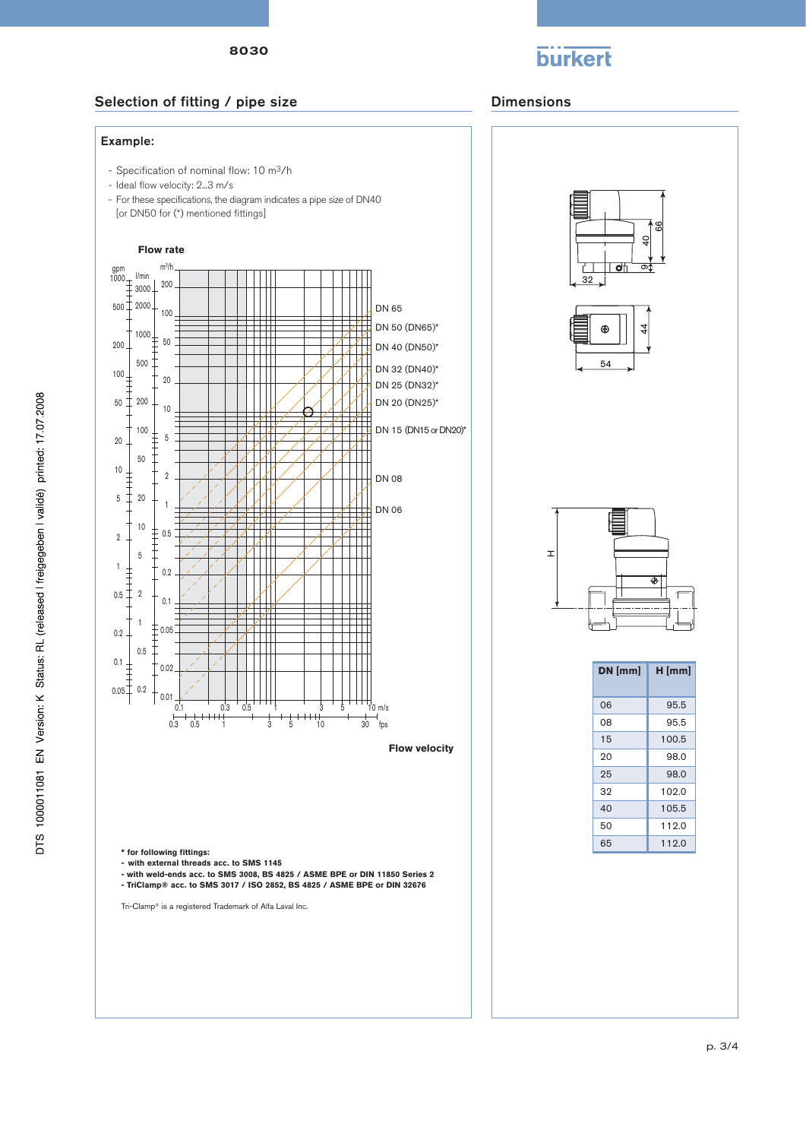8030



## Selection of fitting / pipe size Dimensions